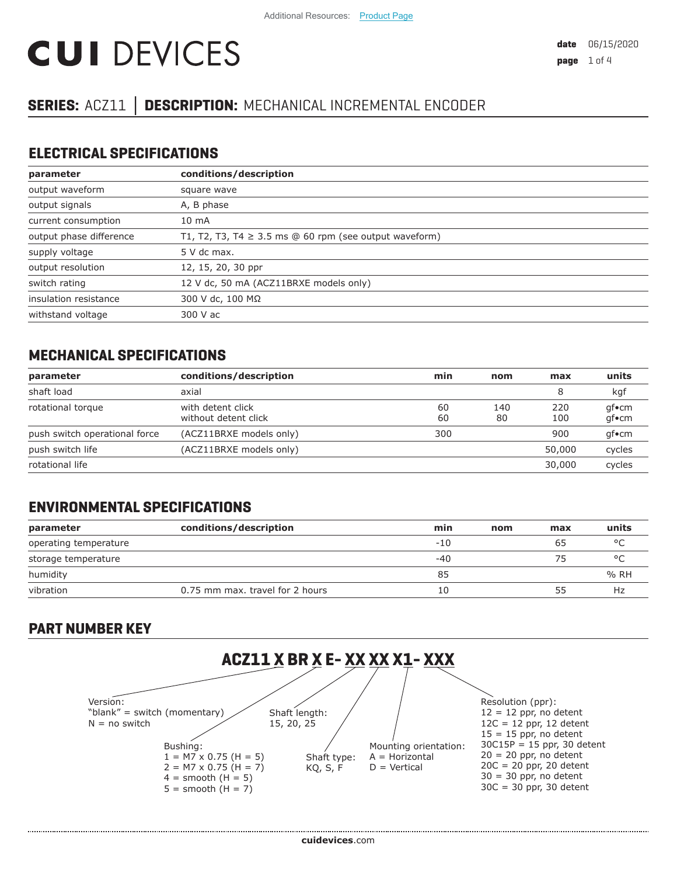# **CUI DEVICES**

# **SERIES:** ACZ11 **│ DESCRIPTION:** MECHANICAL INCREMENTAL ENCODER

## **ELECTRICAL SPECIFICATIONS**

| parameter               | conditions/description                                      |
|-------------------------|-------------------------------------------------------------|
| output waveform         | square wave                                                 |
| output signals          | A, B phase                                                  |
| current consumption     | $10 \text{ mA}$                                             |
| output phase difference | T1, T2, T3, T4 $\geq$ 3.5 ms @ 60 rpm (see output waveform) |
| supply voltage          | 5 V dc max.                                                 |
| output resolution       | 12, 15, 20, 30 ppr                                          |
| switch rating           | 12 V dc, 50 mA (ACZ11BRXE models only)                      |
| insulation resistance   | 300 V dc, 100 MΩ                                            |
| withstand voltage       | 300 V ac                                                    |

## **MECHANICAL SPECIFICATIONS**

| parameter                     | conditions/description                    | min      | nom       | max        | units          |
|-------------------------------|-------------------------------------------|----------|-----------|------------|----------------|
| shaft load                    | axial                                     |          |           | 8          | kgf            |
| rotational torque             | with detent click<br>without detent click | 60<br>60 | 140<br>80 | 220<br>100 | qf∙cm<br>qf∙cm |
| push switch operational force | (ACZ11BRXE models only)                   | 300      |           | 900        | gf•cm          |
| push switch life              | (ACZ11BRXE models only)                   |          |           | 50,000     | cycles         |
| rotational life               |                                           |          |           | 30,000     | cycles         |

## **ENVIRONMENTAL SPECIFICATIONS**

| parameter             | conditions/description          | min   | nom | max | units   |
|-----------------------|---------------------------------|-------|-----|-----|---------|
| operating temperature |                                 | $-10$ |     | 65  | $\circ$ |
| storage temperature   |                                 | $-40$ |     | 75  | $\circ$ |
| humidity              |                                 | 85    |     |     | % RH    |
| vibration             | 0.75 mm max, travel for 2 hours | 10    |     | 55  | Hz      |

# **PART NUMBER KEY**

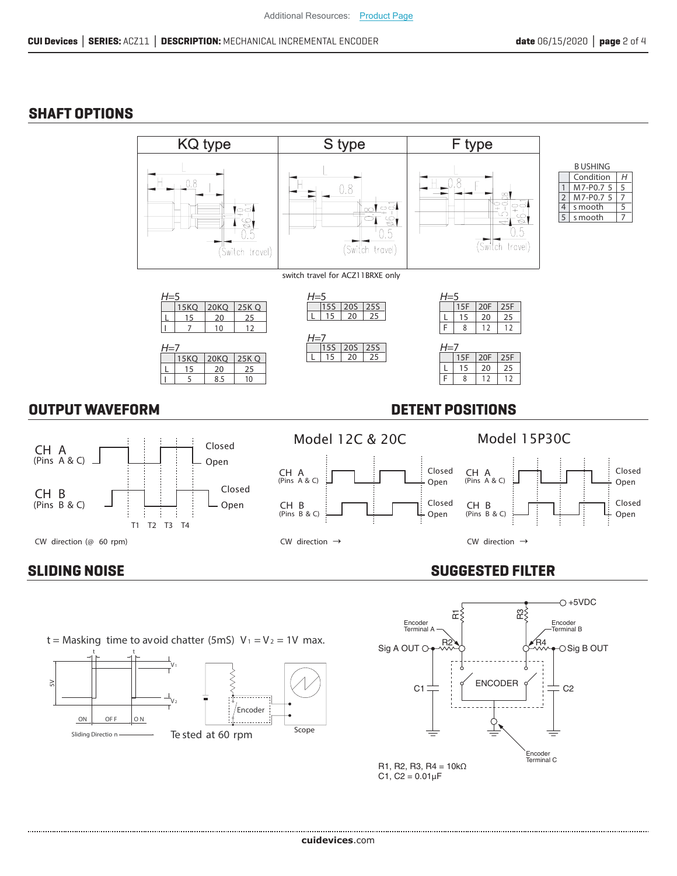#### **SHAFT OPTIONS**

CH A

(Pins A & C)

(Pins B & C)

CH B





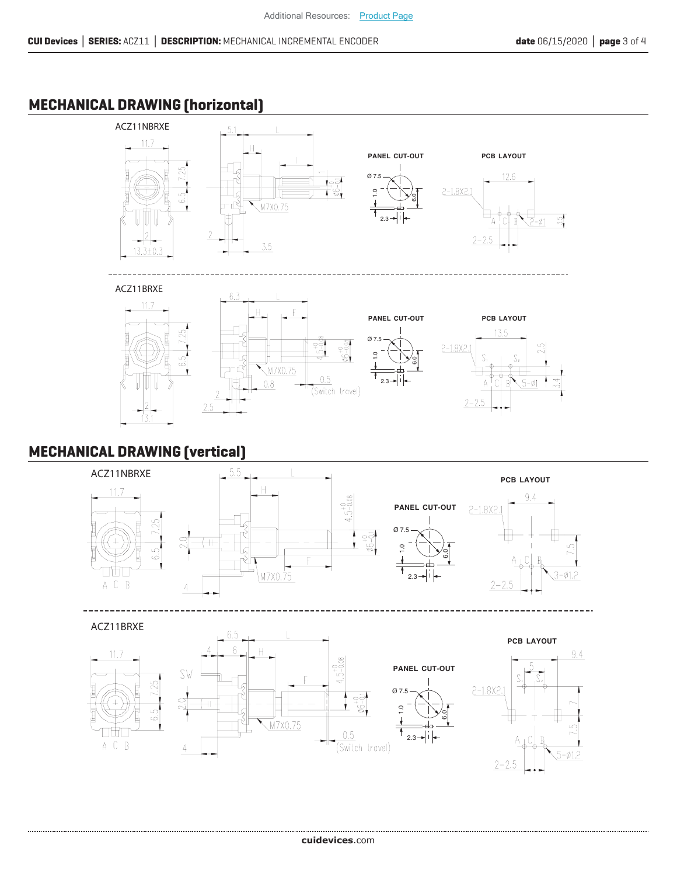## **MECHANICAL DRAWING (horizontal)**



## **MECHANICAL DRAWING (vertical)**